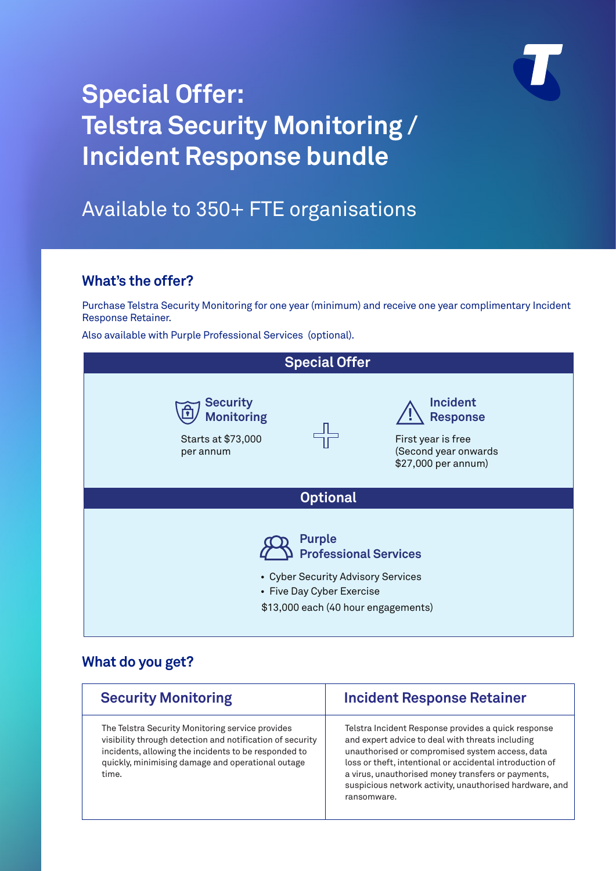

## **Special Offer: Telstra Security Monitoring / Incident Response bundle**

### Available to 350+ FTE organisations

### **What's the offer?**

Purchase Telstra Security Monitoring for one year (minimum) and receive one year complimentary Incident Response Retainer.

Also available with Purple Professional Services (optional).

| <b>Special Offer</b>                                                                                             |                                     |                                                                                                         |  |
|------------------------------------------------------------------------------------------------------------------|-------------------------------------|---------------------------------------------------------------------------------------------------------|--|
| <b>Security</b><br><b>Monitoring</b><br>Starts at \$73,000<br>per annum                                          |                                     | <b>Incident</b><br><b>Response</b><br>First year is free<br>(Second year onwards<br>\$27,000 per annum) |  |
| <b>Optional</b>                                                                                                  |                                     |                                                                                                         |  |
| <b>Purple</b><br><b>Professional Services</b><br>• Cyber Security Advisory Services<br>• Five Day Cyber Exercise |                                     |                                                                                                         |  |
|                                                                                                                  | \$13,000 each (40 hour engagements) |                                                                                                         |  |

### **What do you get?**

| <b>Security Monitoring</b>                                                                                                                                                                                                          | <b>Incident Response Retainer</b>                                                                                                                                                                                                                                                                                                                      |  |
|-------------------------------------------------------------------------------------------------------------------------------------------------------------------------------------------------------------------------------------|--------------------------------------------------------------------------------------------------------------------------------------------------------------------------------------------------------------------------------------------------------------------------------------------------------------------------------------------------------|--|
| The Telstra Security Monitoring service provides<br>visibility through detection and notification of security<br>incidents, allowing the incidents to be responded to<br>quickly, minimising damage and operational outage<br>time. | Telstra Incident Response provides a quick response<br>and expert advice to deal with threats including<br>unauthorised or compromised system access, data<br>loss or theft, intentional or accidental introduction of<br>a virus, unauthorised money transfers or payments,<br>suspicious network activity, unauthorised hardware, and<br>ransomware. |  |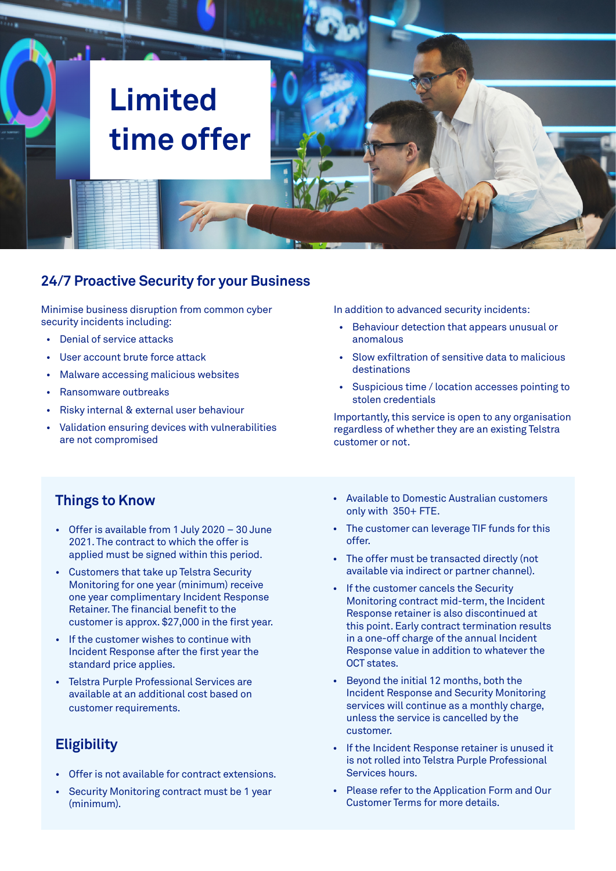# **Limited time offer**

### **24/7 Proactive Security for your Business**

Minimise business disruption from common cyber security incidents including:

- Denial of service attacks
- User account brute force attack
- Malware accessing malicious websites
- Ransomware outbreaks
- Risky internal & external user behaviour
- Validation ensuring devices with vulnerabilities are not compromised

In addition to advanced security incidents:

- Behaviour detection that appears unusual or anomalous
- Slow exfiltration of sensitive data to malicious destinations
- Suspicious time / location accesses pointing to stolen credentials

Importantly, this service is open to any organisation regardless of whether they are an existing Telstra customer or not.

#### **Things to Know**

- Offer is available from 1 July 2020 30 June 2021. The contract to which the offer is applied must be signed within this period.
- Customers that take up Telstra Security Monitoring for one year (minimum) receive one year complimentary Incident Response Retainer. The financial benefit to the customer is approx. \$27,000 in the first year.
- If the customer wishes to continue with Incident Response after the first year the standard price applies.
- Telstra Purple Professional Services are available at an additional cost based on customer requirements.

### **Eligibility**

- Offer is not available for contract extensions.
- Security Monitoring contract must be 1 year (minimum).
- Available to Domestic Australian customers only with 350+ FTE.
- The customer can leverage TIF funds for this offer.
- The offer must be transacted directly (not available via indirect or partner channel).
- If the customer cancels the Security Monitoring contract mid-term, the Incident Response retainer is also discontinued at this point. Early contract termination results in a one-off charge of the annual Incident Response value in addition to whatever the OCT states.
- Beyond the initial 12 months, both the Incident Response and Security Monitoring services will continue as a monthly charge, unless the service is cancelled by the customer.
- If the Incident Response retainer is unused it is not rolled into Telstra Purple Professional Services hours.
- Please refer to the Application Form and Our Customer Terms for more details.